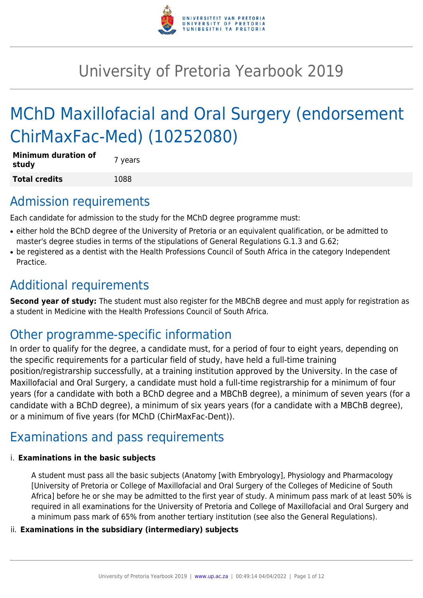

# University of Pretoria Yearbook 2019

# MChD Maxillofacial and Oral Surgery (endorsement ChirMaxFac-Med) (10252080)

| <b>Minimum duration of</b><br>study | 7 years |
|-------------------------------------|---------|
| <b>Total credits</b>                | 1088    |

## Admission requirements

Each candidate for admission to the study for the MChD degree programme must:

- either hold the BChD degree of the University of Pretoria or an equivalent qualification, or be admitted to master's degree studies in terms of the stipulations of General Regulations G.1.3 and G.62;
- be registered as a dentist with the Health Professions Council of South Africa in the category Independent Practice.

### Additional requirements

**Second year of study:** The student must also register for the MBChB degree and must apply for registration as a student in Medicine with the Health Professions Council of South Africa.

## Other programme-specific information

In order to qualify for the degree, a candidate must, for a period of four to eight years, depending on the specific requirements for a particular field of study, have held a full-time training position/registrarship successfully, at a training institution approved by the University. In the case of Maxillofacial and Oral Surgery, a candidate must hold a full-time registrarship for a minimum of four years (for a candidate with both a BChD degree and a MBChB degree), a minimum of seven years (for a candidate with a BChD degree), a minimum of six years years (for a candidate with a MBChB degree), or a minimum of five years (for MChD (ChirMaxFac-Dent)).

# Examinations and pass requirements

#### i. **Examinations in the basic subjects**

A student must pass all the basic subjects (Anatomy [with Embryology], Physiology and Pharmacology [University of Pretoria or College of Maxillofacial and Oral Surgery of the Colleges of Medicine of South Africa] before he or she may be admitted to the first year of study. A minimum pass mark of at least 50% is required in all examinations for the University of Pretoria and College of Maxillofacial and Oral Surgery and a minimum pass mark of 65% from another tertiary institution (see also the General Regulations).

#### ii. **Examinations in the subsidiary (intermediary) subjects**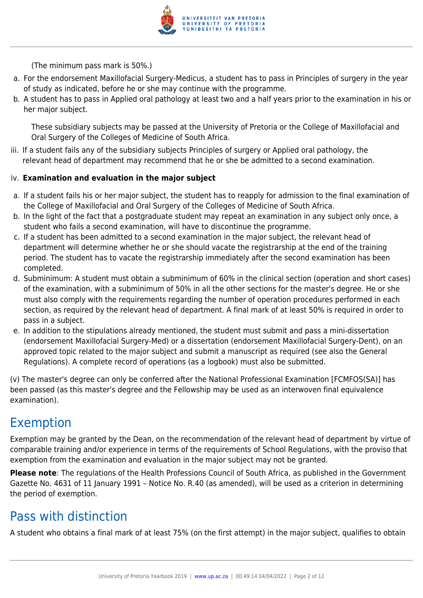

(The minimum pass mark is 50%.)

- a. For the endorsement Maxillofacial Surgery-Medicus, a student has to pass in Principles of surgery in the year of study as indicated, before he or she may continue with the programme.
- b. A student has to pass in Applied oral pathology at least two and a half years prior to the examination in his or her major subject.

These subsidiary subjects may be passed at the University of Pretoria or the College of Maxillofacial and Oral Surgery of the Colleges of Medicine of South Africa.

iii. If a student fails any of the subsidiary subjects Principles of surgery or Applied oral pathology, the relevant head of department may recommend that he or she be admitted to a second examination.

#### iv. **Examination and evaluation in the major subject**

- a. If a student fails his or her major subject, the student has to reapply for admission to the final examination of the College of Maxillofacial and Oral Surgery of the Colleges of Medicine of South Africa.
- b. In the light of the fact that a postgraduate student may repeat an examination in any subject only once, a student who fails a second examination, will have to discontinue the programme.
- c. If a student has been admitted to a second examination in the major subject, the relevant head of department will determine whether he or she should vacate the registrarship at the end of the training period. The student has to vacate the registrarship immediately after the second examination has been completed.
- d. Subminimum: A student must obtain a subminimum of 60% in the clinical section (operation and short cases) of the examination, with a subminimum of 50% in all the other sections for the master's degree. He or she must also comply with the requirements regarding the number of operation procedures performed in each section, as required by the relevant head of department. A final mark of at least 50% is required in order to pass in a subject.
- e. In addition to the stipulations already mentioned, the student must submit and pass a mini-dissertation (endorsement Maxillofacial Surgery-Med) or a dissertation (endorsement Maxillofacial Surgery-Dent), on an approved topic related to the major subject and submit a manuscript as required (see also the General Regulations). A complete record of operations (as a logbook) must also be submitted.

(v) The master's degree can only be conferred after the National Professional Examination [FCMFOS(SA)] has been passed (as this master's degree and the Fellowship may be used as an interwoven final equivalence examination).

### Exemption

Exemption may be granted by the Dean, on the recommendation of the relevant head of department by virtue of comparable training and/or experience in terms of the requirements of School Regulations, with the proviso that exemption from the examination and evaluation in the major subject may not be granted.

**Please note**: The regulations of the Health Professions Council of South Africa, as published in the Government Gazette No. 4631 of 11 January 1991 – Notice No. R.40 (as amended), will be used as a criterion in determining the period of exemption.

## Pass with distinction

A student who obtains a final mark of at least 75% (on the first attempt) in the major subject, qualifies to obtain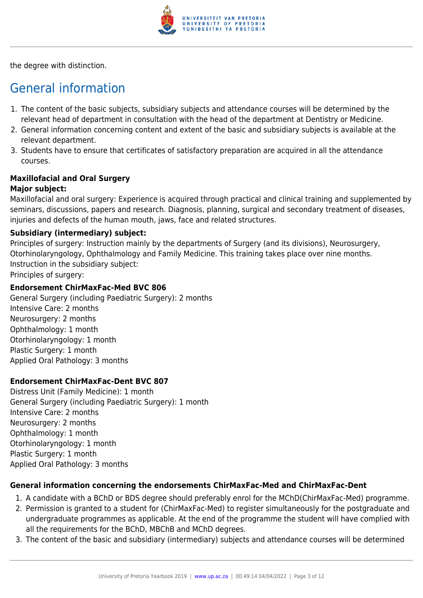

the degree with distinction.

# General information

- 1. The content of the basic subjects, subsidiary subjects and attendance courses will be determined by the relevant head of department in consultation with the head of the department at Dentistry or Medicine.
- 2. General information concerning content and extent of the basic and subsidiary subjects is available at the relevant department.
- 3. Students have to ensure that certificates of satisfactory preparation are acquired in all the attendance courses.

# **Maxillofacial and Oral Surgery**

#### **Major subject:**

Maxillofacial and oral surgery: Experience is acquired through practical and clinical training and supplemented by seminars, discussions, papers and research. Diagnosis, planning, surgical and secondary treatment of diseases, injuries and defects of the human mouth, jaws, face and related structures.

#### **Subsidiary (intermediary) subject:**

Principles of surgery: Instruction mainly by the departments of Surgery (and its divisions), Neurosurgery, Otorhinolaryngology, Ophthalmology and Family Medicine. This training takes place over nine months. Instruction in the subsidiary subject: Principles of surgery:

#### **Endorsement ChirMaxFac-Med BVC 806**

General Surgery (including Paediatric Surgery): 2 months Intensive Care: 2 months Neurosurgery: 2 months Ophthalmology: 1 month Otorhinolaryngology: 1 month Plastic Surgery: 1 month Applied Oral Pathology: 3 months

#### **Endorsement ChirMaxFac-Dent BVC 807**

Distress Unit (Family Medicine): 1 month General Surgery (including Paediatric Surgery): 1 month Intensive Care: 2 months Neurosurgery: 2 months Ophthalmology: 1 month Otorhinolaryngology: 1 month Plastic Surgery: 1 month Applied Oral Pathology: 3 months

#### **General information concerning the endorsements ChirMaxFac-Med and ChirMaxFac-Dent**

- 1. A candidate with a BChD or BDS degree should preferably enrol for the MChD(ChirMaxFac-Med) programme.
- 2. Permission is granted to a student for (ChirMaxFac-Med) to register simultaneously for the postgraduate and undergraduate programmes as applicable. At the end of the programme the student will have complied with all the requirements for the BChD, MBChB and MChD degrees.
- 3. The content of the basic and subsidiary (intermediary) subjects and attendance courses will be determined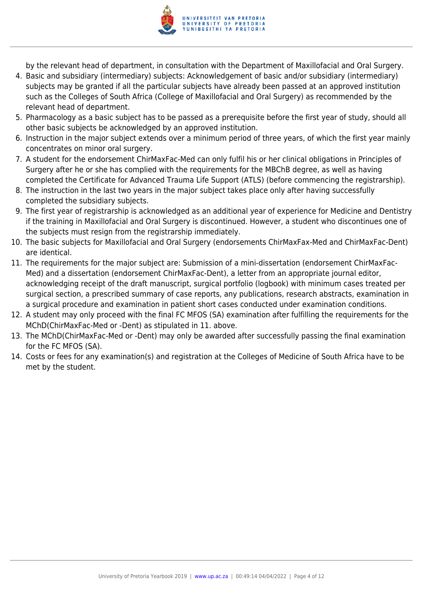

by the relevant head of department, in consultation with the Department of Maxillofacial and Oral Surgery.

- 4. Basic and subsidiary (intermediary) subjects: Acknowledgement of basic and/or subsidiary (intermediary) subjects may be granted if all the particular subjects have already been passed at an approved institution such as the Colleges of South Africa (College of Maxillofacial and Oral Surgery) as recommended by the relevant head of department.
- 5. Pharmacology as a basic subject has to be passed as a prerequisite before the first year of study, should all other basic subjects be acknowledged by an approved institution.
- 6. Instruction in the major subject extends over a minimum period of three years, of which the first year mainly concentrates on minor oral surgery.
- 7. A student for the endorsement ChirMaxFac-Med can only fulfil his or her clinical obligations in Principles of Surgery after he or she has complied with the requirements for the MBChB degree, as well as having completed the Certificate for Advanced Trauma Life Support (ATLS) (before commencing the registrarship).
- 8. The instruction in the last two years in the major subject takes place only after having successfully completed the subsidiary subjects.
- 9. The first year of registrarship is acknowledged as an additional year of experience for Medicine and Dentistry if the training in Maxillofacial and Oral Surgery is discontinued. However, a student who discontinues one of the subjects must resign from the registrarship immediately.
- 10. The basic subjects for Maxillofacial and Oral Surgery (endorsements ChirMaxFax-Med and ChirMaxFac-Dent) are identical.
- 11. The requirements for the major subject are: Submission of a mini-dissertation (endorsement ChirMaxFac-Med) and a dissertation (endorsement ChirMaxFac-Dent), a letter from an appropriate journal editor, acknowledging receipt of the draft manuscript, surgical portfolio (logbook) with minimum cases treated per surgical section, a prescribed summary of case reports, any publications, research abstracts, examination in a surgical procedure and examination in patient short cases conducted under examination conditions.
- 12. A student may only proceed with the final FC MFOS (SA) examination after fulfilling the requirements for the MChD(ChirMaxFac-Med or -Dent) as stipulated in 11. above.
- 13. The MChD(ChirMaxFac-Med or -Dent) may only be awarded after successfully passing the final examination for the FC MFOS (SA).
- 14. Costs or fees for any examination(s) and registration at the Colleges of Medicine of South Africa have to be met by the student.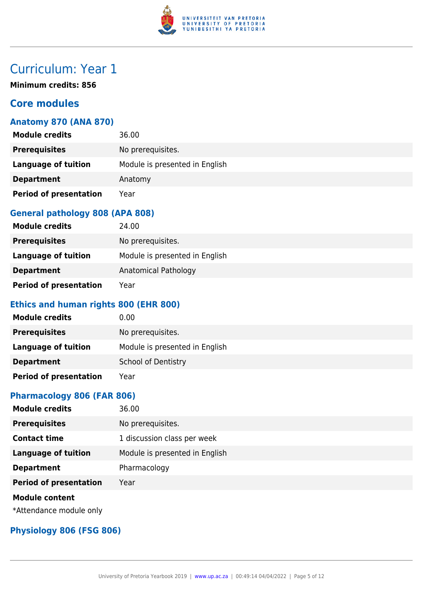

**Minimum credits: 856**

### **Core modules**

#### **Anatomy 870 (ANA 870)**

| <b>Module credits</b>         | 36.00                          |
|-------------------------------|--------------------------------|
| <b>Prerequisites</b>          | No prerequisites.              |
| <b>Language of tuition</b>    | Module is presented in English |
| <b>Department</b>             | Anatomy                        |
| <b>Period of presentation</b> | Year                           |

### **General pathology 808 (APA 808)**

| <b>Module credits</b>         | 24.00                          |
|-------------------------------|--------------------------------|
| <b>Prerequisites</b>          | No prerequisites.              |
| Language of tuition           | Module is presented in English |
| <b>Department</b>             | Anatomical Pathology           |
| <b>Period of presentation</b> | Year                           |

### **Ethics and human rights 800 (EHR 800)**

| <b>Module credits</b>         | 0.00                           |
|-------------------------------|--------------------------------|
| <b>Prerequisites</b>          | No prerequisites.              |
| Language of tuition           | Module is presented in English |
| <b>Department</b>             | <b>School of Dentistry</b>     |
| <b>Period of presentation</b> | Year                           |

#### **Pharmacology 806 (FAR 806)**

| <b>Module credits</b>         | 36.00                          |
|-------------------------------|--------------------------------|
| <b>Prerequisites</b>          | No prerequisites.              |
| <b>Contact time</b>           | 1 discussion class per week    |
| <b>Language of tuition</b>    | Module is presented in English |
| <b>Department</b>             | Pharmacology                   |
| <b>Period of presentation</b> | Year                           |
| <b>Module content</b>         |                                |

\*Attendance module only

#### **Physiology 806 (FSG 806)**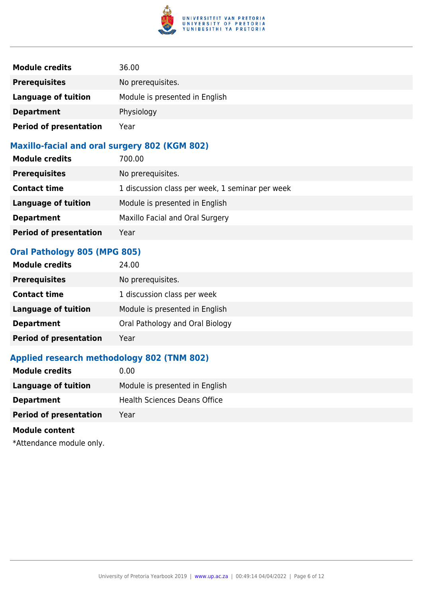

| <b>Module credits</b>         | 36.00                          |
|-------------------------------|--------------------------------|
| <b>Prerequisites</b>          | No prerequisites.              |
| Language of tuition           | Module is presented in English |
| <b>Department</b>             | Physiology                     |
| <b>Period of presentation</b> | Year                           |

#### **Maxillo-facial and oral surgery 802 (KGM 802)**

| <b>Module credits</b>         | 700.00                                          |
|-------------------------------|-------------------------------------------------|
| <b>Prerequisites</b>          | No prerequisites.                               |
| <b>Contact time</b>           | 1 discussion class per week, 1 seminar per week |
| <b>Language of tuition</b>    | Module is presented in English                  |
| <b>Department</b>             | Maxillo Facial and Oral Surgery                 |
| <b>Period of presentation</b> | Year                                            |

#### **Oral Pathology 805 (MPG 805)**

| <b>Module credits</b>         | 24.00                           |
|-------------------------------|---------------------------------|
| <b>Prerequisites</b>          | No prerequisites.               |
| <b>Contact time</b>           | 1 discussion class per week     |
| <b>Language of tuition</b>    | Module is presented in English  |
| <b>Department</b>             | Oral Pathology and Oral Biology |
| <b>Period of presentation</b> | Year                            |

### **Applied research methodology 802 (TNM 802)**

| <b>Module credits</b><br>0.00         |                                |
|---------------------------------------|--------------------------------|
| Language of tuition                   | Module is presented in English |
| <b>Department</b>                     | Health Sciences Deans Office   |
| <b>Period of presentation</b><br>Year |                                |

#### **Module content**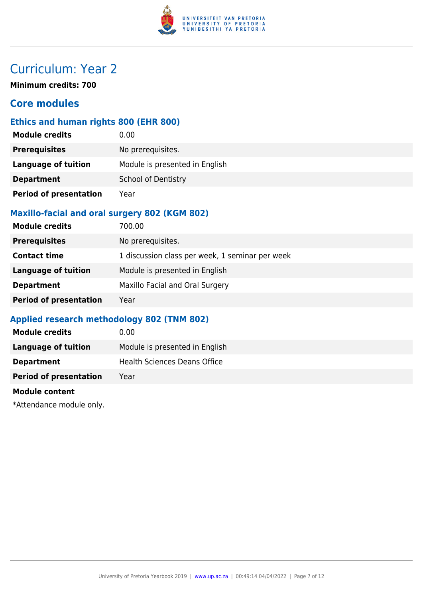

**Minimum credits: 700**

### **Core modules**

#### **Ethics and human rights 800 (EHR 800)**

| <b>Module credits</b>         | 0.00                           |
|-------------------------------|--------------------------------|
| <b>Prerequisites</b>          | No prerequisites.              |
| <b>Language of tuition</b>    | Module is presented in English |
| <b>Department</b>             | <b>School of Dentistry</b>     |
| <b>Period of presentation</b> | Year                           |

#### **Maxillo-facial and oral surgery 802 (KGM 802)**

| <b>Module credits</b>         | 700.00                                          |
|-------------------------------|-------------------------------------------------|
| <b>Prerequisites</b>          | No prerequisites.                               |
| <b>Contact time</b>           | 1 discussion class per week, 1 seminar per week |
| <b>Language of tuition</b>    | Module is presented in English                  |
| <b>Department</b>             | Maxillo Facial and Oral Surgery                 |
| <b>Period of presentation</b> | Year                                            |

#### **Applied research methodology 802 (TNM 802)**

| <b>Module credits</b>         | 0.00                           |
|-------------------------------|--------------------------------|
| Language of tuition           | Module is presented in English |
| <b>Department</b>             | Health Sciences Deans Office   |
| <b>Period of presentation</b> | Year                           |
|                               |                                |

#### **Module content**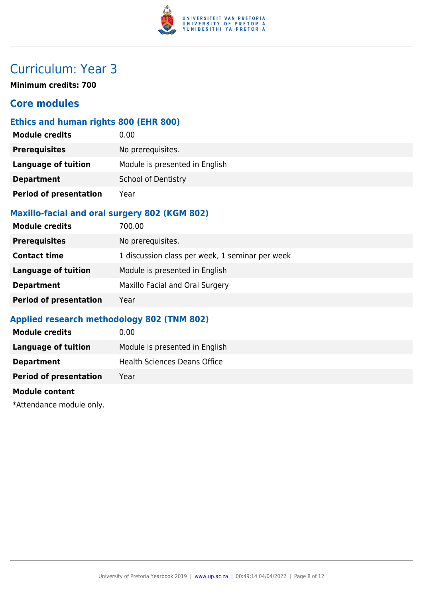

**Minimum credits: 700**

### **Core modules**

#### **Ethics and human rights 800 (EHR 800)**

| <b>Module credits</b>         | 0.00                           |
|-------------------------------|--------------------------------|
| <b>Prerequisites</b>          | No prerequisites.              |
| <b>Language of tuition</b>    | Module is presented in English |
| <b>Department</b>             | <b>School of Dentistry</b>     |
| <b>Period of presentation</b> | Year                           |

#### **Maxillo-facial and oral surgery 802 (KGM 802)**

| <b>Module credits</b>         | 700.00                                          |
|-------------------------------|-------------------------------------------------|
| <b>Prerequisites</b>          | No prerequisites.                               |
| <b>Contact time</b>           | 1 discussion class per week, 1 seminar per week |
| <b>Language of tuition</b>    | Module is presented in English                  |
| <b>Department</b>             | Maxillo Facial and Oral Surgery                 |
| <b>Period of presentation</b> | Year                                            |

#### **Applied research methodology 802 (TNM 802)**

| <b>Module credits</b>         | 0.00                           |
|-------------------------------|--------------------------------|
| Language of tuition           | Module is presented in English |
| <b>Department</b>             | Health Sciences Deans Office   |
| <b>Period of presentation</b> | Year                           |
|                               |                                |

#### **Module content**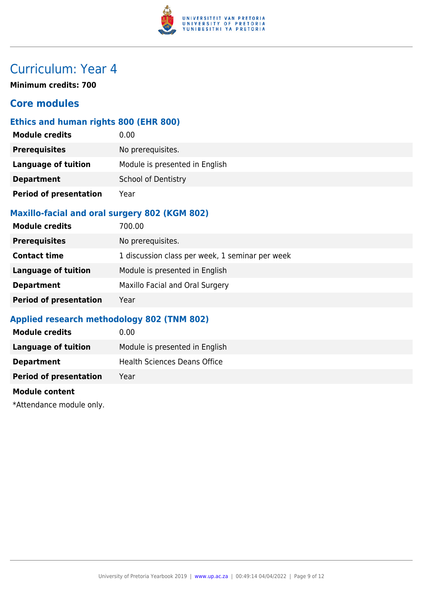

**Minimum credits: 700**

### **Core modules**

#### **Ethics and human rights 800 (EHR 800)**

| <b>Module credits</b>         | 0.00                           |
|-------------------------------|--------------------------------|
| <b>Prerequisites</b>          | No prerequisites.              |
| <b>Language of tuition</b>    | Module is presented in English |
| <b>Department</b>             | <b>School of Dentistry</b>     |
| <b>Period of presentation</b> | Year                           |

#### **Maxillo-facial and oral surgery 802 (KGM 802)**

| <b>Module credits</b>         | 700.00                                          |
|-------------------------------|-------------------------------------------------|
| <b>Prerequisites</b>          | No prerequisites.                               |
| <b>Contact time</b>           | 1 discussion class per week, 1 seminar per week |
| <b>Language of tuition</b>    | Module is presented in English                  |
| <b>Department</b>             | Maxillo Facial and Oral Surgery                 |
| <b>Period of presentation</b> | Year                                            |

#### **Applied research methodology 802 (TNM 802)**

| <b>Module credits</b>         | 0.00                           |
|-------------------------------|--------------------------------|
| Language of tuition           | Module is presented in English |
| <b>Department</b>             | Health Sciences Deans Office   |
| <b>Period of presentation</b> | Year                           |
|                               |                                |

#### **Module content**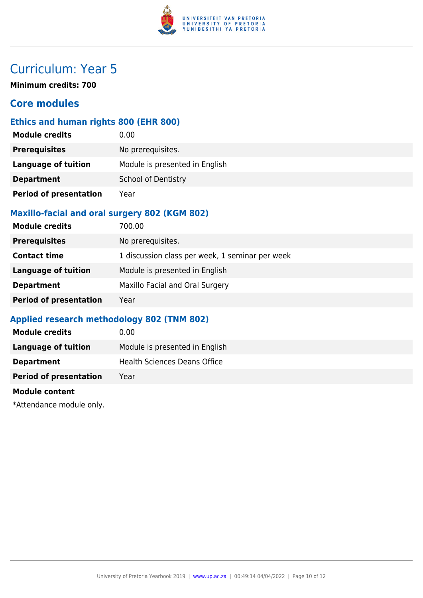

**Minimum credits: 700**

### **Core modules**

#### **Ethics and human rights 800 (EHR 800)**

| <b>Module credits</b>         | 0.00                           |
|-------------------------------|--------------------------------|
| <b>Prerequisites</b>          | No prerequisites.              |
| <b>Language of tuition</b>    | Module is presented in English |
| <b>Department</b>             | <b>School of Dentistry</b>     |
| <b>Period of presentation</b> | Year                           |

#### **Maxillo-facial and oral surgery 802 (KGM 802)**

| <b>Module credits</b>         | 700.00                                          |
|-------------------------------|-------------------------------------------------|
| <b>Prerequisites</b>          | No prerequisites.                               |
| <b>Contact time</b>           | 1 discussion class per week, 1 seminar per week |
| <b>Language of tuition</b>    | Module is presented in English                  |
| <b>Department</b>             | Maxillo Facial and Oral Surgery                 |
| <b>Period of presentation</b> | Year                                            |

#### **Applied research methodology 802 (TNM 802)**

| <b>Module credits</b>         | 0.00                           |
|-------------------------------|--------------------------------|
| Language of tuition           | Module is presented in English |
| <b>Department</b>             | Health Sciences Deans Office   |
| <b>Period of presentation</b> | Year                           |
|                               |                                |

#### **Module content**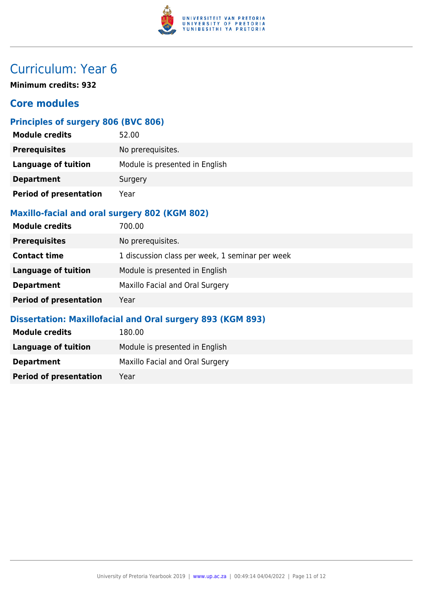

**Minimum credits: 932**

### **Core modules**

### **Principles of surgery 806 (BVC 806)**

| <b>Module credits</b>         | 52.00                          |
|-------------------------------|--------------------------------|
| <b>Prerequisites</b>          | No prerequisites.              |
| <b>Language of tuition</b>    | Module is presented in English |
| <b>Department</b>             | Surgery                        |
| <b>Period of presentation</b> | Year                           |

#### **Maxillo-facial and oral surgery 802 (KGM 802)**

| <b>Module credits</b>         | 700.00                                          |
|-------------------------------|-------------------------------------------------|
| <b>Prerequisites</b>          | No prerequisites.                               |
| <b>Contact time</b>           | 1 discussion class per week, 1 seminar per week |
| <b>Language of tuition</b>    | Module is presented in English                  |
| <b>Department</b>             | Maxillo Facial and Oral Surgery                 |
| <b>Period of presentation</b> | Year                                            |

#### **Dissertation: Maxillofacial and Oral surgery 893 (KGM 893)**

| <b>Module credits</b>         | 180.00                          |
|-------------------------------|---------------------------------|
| Language of tuition           | Module is presented in English  |
| <b>Department</b>             | Maxillo Facial and Oral Surgery |
| <b>Period of presentation</b> | Year                            |